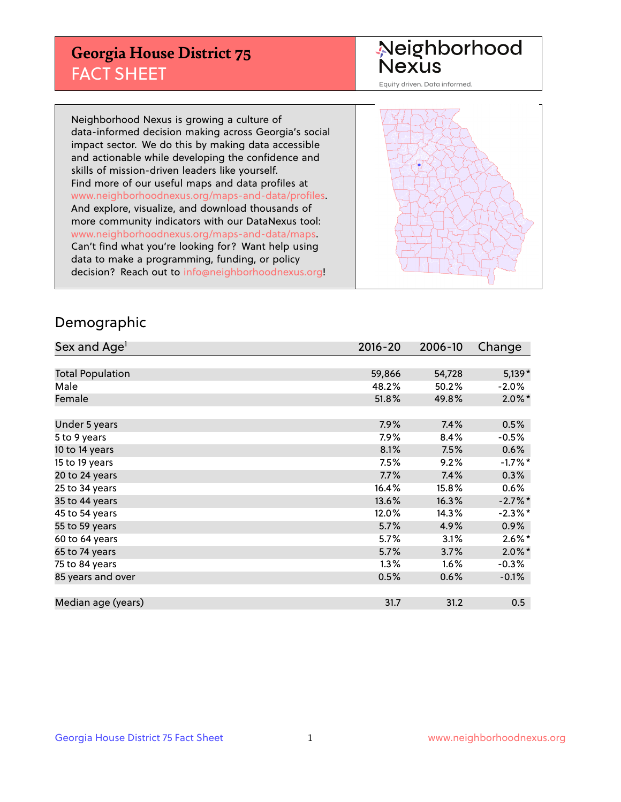## **Georgia House District 75** FACT SHEET

# Neighborhood<br>Nexus

Equity driven. Data informed.

Neighborhood Nexus is growing a culture of data-informed decision making across Georgia's social impact sector. We do this by making data accessible and actionable while developing the confidence and skills of mission-driven leaders like yourself. Find more of our useful maps and data profiles at www.neighborhoodnexus.org/maps-and-data/profiles. And explore, visualize, and download thousands of more community indicators with our DataNexus tool: www.neighborhoodnexus.org/maps-and-data/maps. Can't find what you're looking for? Want help using data to make a programming, funding, or policy decision? Reach out to [info@neighborhoodnexus.org!](mailto:info@neighborhoodnexus.org)



### Demographic

| Sex and Age <sup>1</sup> | $2016 - 20$ | 2006-10 | Change     |
|--------------------------|-------------|---------|------------|
|                          |             |         |            |
| <b>Total Population</b>  | 59,866      | 54,728  | $5,139*$   |
| Male                     | 48.2%       | 50.2%   | $-2.0\%$   |
| Female                   | 51.8%       | 49.8%   | $2.0\%$ *  |
|                          |             |         |            |
| Under 5 years            | 7.9%        | 7.4%    | 0.5%       |
| 5 to 9 years             | 7.9%        | 8.4%    | $-0.5\%$   |
| 10 to 14 years           | 8.1%        | 7.5%    | 0.6%       |
| 15 to 19 years           | 7.5%        | 9.2%    | $-1.7%$ *  |
| 20 to 24 years           | 7.7%        | 7.4%    | 0.3%       |
| 25 to 34 years           | 16.4%       | 15.8%   | 0.6%       |
| 35 to 44 years           | 13.6%       | 16.3%   | $-2.7\%$ * |
| 45 to 54 years           | 12.0%       | 14.3%   | $-2.3\%$ * |
| 55 to 59 years           | 5.7%        | 4.9%    | 0.9%       |
| 60 to 64 years           | 5.7%        | 3.1%    | $2.6\%$ *  |
| 65 to 74 years           | 5.7%        | 3.7%    | $2.0\%$ *  |
| 75 to 84 years           | $1.3\%$     | 1.6%    | $-0.3%$    |
| 85 years and over        | 0.5%        | 0.6%    | $-0.1%$    |
|                          |             |         |            |
| Median age (years)       | 31.7        | 31.2    | 0.5        |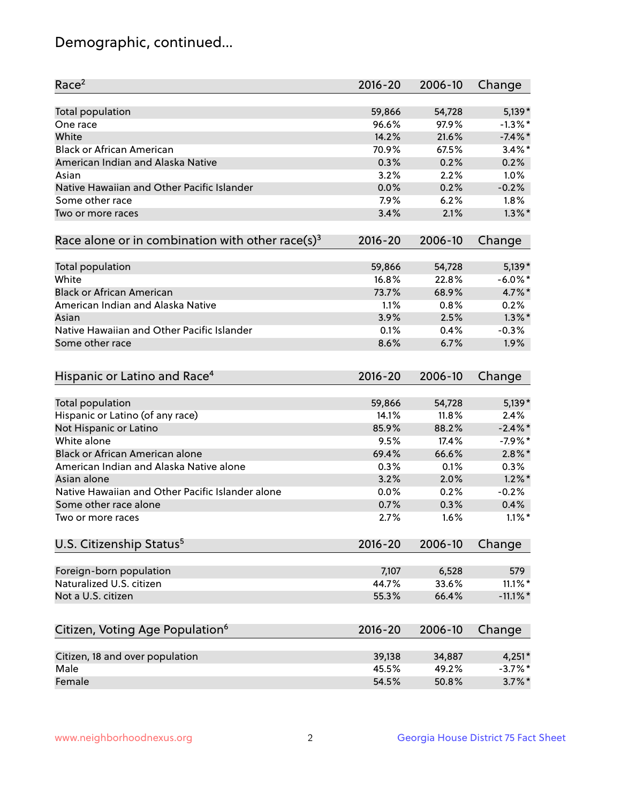## Demographic, continued...

| Race <sup>2</sup>                                            | $2016 - 20$ | 2006-10 | Change      |
|--------------------------------------------------------------|-------------|---------|-------------|
| <b>Total population</b>                                      | 59,866      | 54,728  | $5,139*$    |
| One race                                                     | 96.6%       | 97.9%   | $-1.3\%$ *  |
| White                                                        | 14.2%       | 21.6%   | $-7.4\%$ *  |
| <b>Black or African American</b>                             | 70.9%       | 67.5%   | $3.4\%$ *   |
| American Indian and Alaska Native                            | 0.3%        | 0.2%    | 0.2%        |
| Asian                                                        | 3.2%        | 2.2%    | 1.0%        |
| Native Hawaiian and Other Pacific Islander                   | 0.0%        | 0.2%    | $-0.2%$     |
| Some other race                                              | 7.9%        | 6.2%    | 1.8%        |
| Two or more races                                            | 3.4%        | 2.1%    | $1.3\%$ *   |
| Race alone or in combination with other race(s) <sup>3</sup> | $2016 - 20$ | 2006-10 | Change      |
| Total population                                             | 59,866      | 54,728  | $5,139*$    |
| White                                                        | 16.8%       | 22.8%   | $-6.0\%$ *  |
| <b>Black or African American</b>                             | 73.7%       | 68.9%   | 4.7%*       |
| American Indian and Alaska Native                            | 1.1%        | 0.8%    | 0.2%        |
| Asian                                                        | 3.9%        | 2.5%    | $1.3\%$ *   |
| Native Hawaiian and Other Pacific Islander                   |             |         |             |
|                                                              | 0.1%        | $0.4\%$ | $-0.3%$     |
| Some other race                                              | 8.6%        | 6.7%    | 1.9%        |
| Hispanic or Latino and Race <sup>4</sup>                     | $2016 - 20$ | 2006-10 | Change      |
| Total population                                             | 59,866      | 54,728  | $5,139*$    |
| Hispanic or Latino (of any race)                             | 14.1%       | 11.8%   | 2.4%        |
| Not Hispanic or Latino                                       | 85.9%       | 88.2%   | $-2.4\%$ *  |
| White alone                                                  | 9.5%        | 17.4%   | $-7.9%$ *   |
| Black or African American alone                              | 69.4%       | 66.6%   | $2.8\%$ *   |
| American Indian and Alaska Native alone                      | 0.3%        | 0.1%    | 0.3%        |
| Asian alone                                                  | 3.2%        | 2.0%    | $1.2\%$ *   |
| Native Hawaiian and Other Pacific Islander alone             | $0.0\%$     | 0.2%    | $-0.2%$     |
| Some other race alone                                        | 0.7%        | 0.3%    | 0.4%        |
| Two or more races                                            | 2.7%        | 1.6%    | $1.1\%$ *   |
| U.S. Citizenship Status <sup>5</sup>                         | $2016 - 20$ | 2006-10 | Change      |
|                                                              |             |         |             |
| Foreign-born population                                      | 7,107       | 6,528   | 579         |
| Naturalized U.S. citizen                                     | 44.7%       | 33.6%   | $11.1\%$ *  |
| Not a U.S. citizen                                           | 55.3%       | 66.4%   | $-11.1\%$ * |
| Citizen, Voting Age Population <sup>6</sup>                  | 2016-20     | 2006-10 | Change      |
| Citizen, 18 and over population                              | 39,138      | 34,887  | $4,251*$    |
| Male                                                         | 45.5%       | 49.2%   | $-3.7%$ *   |
| Female                                                       | 54.5%       | 50.8%   | $3.7\%$ *   |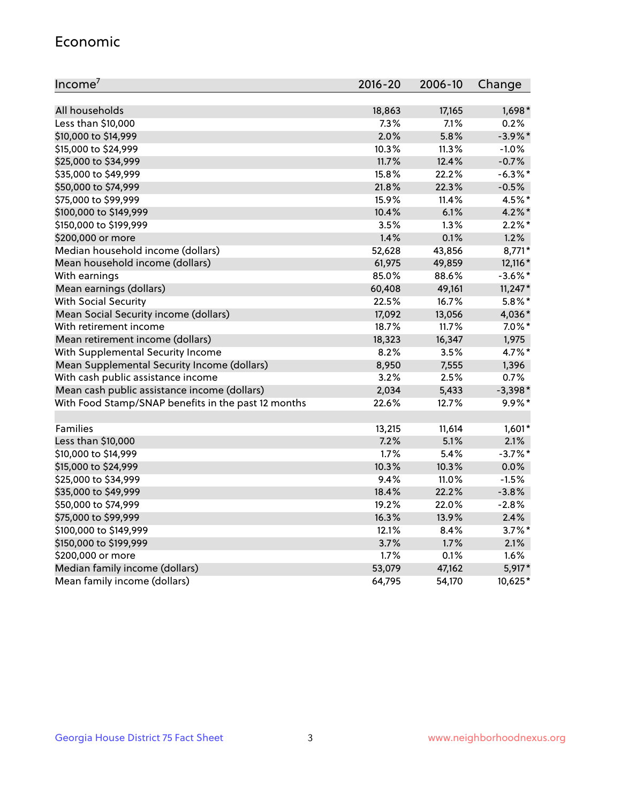#### Economic

| Income <sup>7</sup>                                 | $2016 - 20$ | 2006-10 | Change     |
|-----------------------------------------------------|-------------|---------|------------|
|                                                     |             |         |            |
| All households                                      | 18,863      | 17,165  | $1,698*$   |
| Less than \$10,000                                  | 7.3%        | 7.1%    | 0.2%       |
| \$10,000 to \$14,999                                | 2.0%        | 5.8%    | $-3.9\%$ * |
| \$15,000 to \$24,999                                | 10.3%       | 11.3%   | $-1.0%$    |
| \$25,000 to \$34,999                                | 11.7%       | 12.4%   | $-0.7%$    |
| \$35,000 to \$49,999                                | 15.8%       | 22.2%   | $-6.3\%$ * |
| \$50,000 to \$74,999                                | 21.8%       | 22.3%   | $-0.5%$    |
| \$75,000 to \$99,999                                | 15.9%       | 11.4%   | 4.5%*      |
| \$100,000 to \$149,999                              | 10.4%       | 6.1%    | 4.2%*      |
| \$150,000 to \$199,999                              | 3.5%        | 1.3%    | $2.2\%$ *  |
| \$200,000 or more                                   | 1.4%        | 0.1%    | 1.2%       |
| Median household income (dollars)                   | 52,628      | 43,856  | $8,771*$   |
| Mean household income (dollars)                     | 61,975      | 49,859  | 12,116 *   |
| With earnings                                       | 85.0%       | 88.6%   | $-3.6\%$ * |
| Mean earnings (dollars)                             | 60,408      | 49,161  | $11,247*$  |
| <b>With Social Security</b>                         | 22.5%       | 16.7%   | $5.8\%$ *  |
| Mean Social Security income (dollars)               | 17,092      | 13,056  | 4,036*     |
| With retirement income                              | 18.7%       | 11.7%   | $7.0\%$ *  |
| Mean retirement income (dollars)                    | 18,323      | 16,347  | 1,975      |
| With Supplemental Security Income                   | 8.2%        | 3.5%    | 4.7%*      |
| Mean Supplemental Security Income (dollars)         | 8,950       | 7,555   | 1,396      |
| With cash public assistance income                  | 3.2%        | 2.5%    | 0.7%       |
| Mean cash public assistance income (dollars)        | 2,034       | 5,433   | $-3,398*$  |
| With Food Stamp/SNAP benefits in the past 12 months | 22.6%       | 12.7%   | 9.9%*      |
|                                                     |             |         |            |
| Families                                            | 13,215      | 11,614  | $1,601*$   |
| Less than \$10,000                                  | 7.2%        | 5.1%    | 2.1%       |
| \$10,000 to \$14,999                                | 1.7%        | 5.4%    | $-3.7%$ *  |
| \$15,000 to \$24,999                                | 10.3%       | 10.3%   | 0.0%       |
| \$25,000 to \$34,999                                | 9.4%        | 11.0%   | $-1.5%$    |
| \$35,000 to \$49,999                                | 18.4%       | 22.2%   | $-3.8%$    |
| \$50,000 to \$74,999                                | 19.2%       | 22.0%   | $-2.8%$    |
| \$75,000 to \$99,999                                | 16.3%       | 13.9%   | 2.4%       |
| \$100,000 to \$149,999                              | 12.1%       | 8.4%    | $3.7\%$ *  |
| \$150,000 to \$199,999                              | 3.7%        | 1.7%    | 2.1%       |
| \$200,000 or more                                   | 1.7%        | 0.1%    | 1.6%       |
| Median family income (dollars)                      | 53,079      | 47,162  | $5,917*$   |
| Mean family income (dollars)                        | 64,795      | 54,170  | 10,625*    |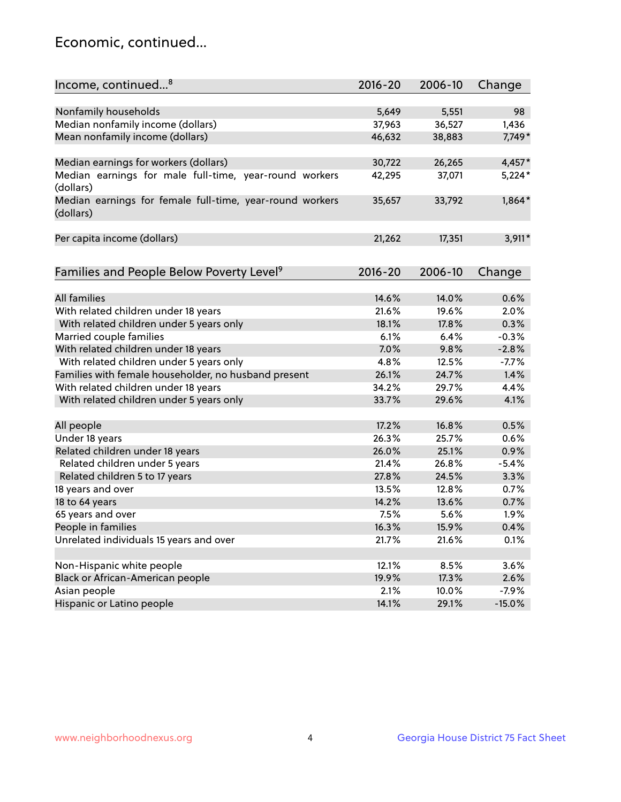## Economic, continued...

| Income, continued <sup>8</sup>                           | $2016 - 20$ | 2006-10 | Change   |
|----------------------------------------------------------|-------------|---------|----------|
|                                                          |             |         |          |
| Nonfamily households                                     | 5,649       | 5,551   | 98       |
| Median nonfamily income (dollars)                        | 37,963      | 36,527  | 1,436    |
| Mean nonfamily income (dollars)                          | 46,632      | 38,883  | 7,749*   |
|                                                          |             |         |          |
| Median earnings for workers (dollars)                    | 30,722      | 26,265  | $4,457*$ |
| Median earnings for male full-time, year-round workers   | 42,295      | 37,071  | $5,224*$ |
| (dollars)                                                |             |         |          |
| Median earnings for female full-time, year-round workers | 35,657      | 33,792  | $1,864*$ |
| (dollars)                                                |             |         |          |
|                                                          |             |         |          |
| Per capita income (dollars)                              | 21,262      | 17,351  | $3,911*$ |
|                                                          |             |         |          |
| Families and People Below Poverty Level <sup>9</sup>     | 2016-20     | 2006-10 | Change   |
|                                                          |             |         |          |
| <b>All families</b>                                      | 14.6%       | 14.0%   | 0.6%     |
| With related children under 18 years                     | 21.6%       | 19.6%   | 2.0%     |
| With related children under 5 years only                 | 18.1%       | 17.8%   | 0.3%     |
| Married couple families                                  | 6.1%        | 6.4%    | $-0.3%$  |
| With related children under 18 years                     | 7.0%        | 9.8%    | $-2.8%$  |
| With related children under 5 years only                 | 4.8%        | 12.5%   | $-7.7%$  |
| Families with female householder, no husband present     | 26.1%       | 24.7%   | 1.4%     |
| With related children under 18 years                     | 34.2%       | 29.7%   | 4.4%     |
|                                                          | 33.7%       | 29.6%   | 4.1%     |
| With related children under 5 years only                 |             |         |          |
| All people                                               | 17.2%       | 16.8%   | 0.5%     |
| Under 18 years                                           | 26.3%       | 25.7%   | 0.6%     |
| Related children under 18 years                          | 26.0%       | 25.1%   | 0.9%     |
| Related children under 5 years                           | 21.4%       | 26.8%   | $-5.4%$  |
| Related children 5 to 17 years                           | 27.8%       | 24.5%   | 3.3%     |
| 18 years and over                                        | 13.5%       | 12.8%   | 0.7%     |
| 18 to 64 years                                           | 14.2%       | 13.6%   | 0.7%     |
| 65 years and over                                        | 7.5%        | 5.6%    | 1.9%     |
| People in families                                       | 16.3%       | 15.9%   | 0.4%     |
| Unrelated individuals 15 years and over                  | 21.7%       | 21.6%   | 0.1%     |
|                                                          |             |         |          |
| Non-Hispanic white people                                | 12.1%       | 8.5%    | 3.6%     |
| Black or African-American people                         | 19.9%       | 17.3%   | 2.6%     |
| Asian people                                             | 2.1%        | 10.0%   | $-7.9%$  |
| Hispanic or Latino people                                | 14.1%       | 29.1%   | $-15.0%$ |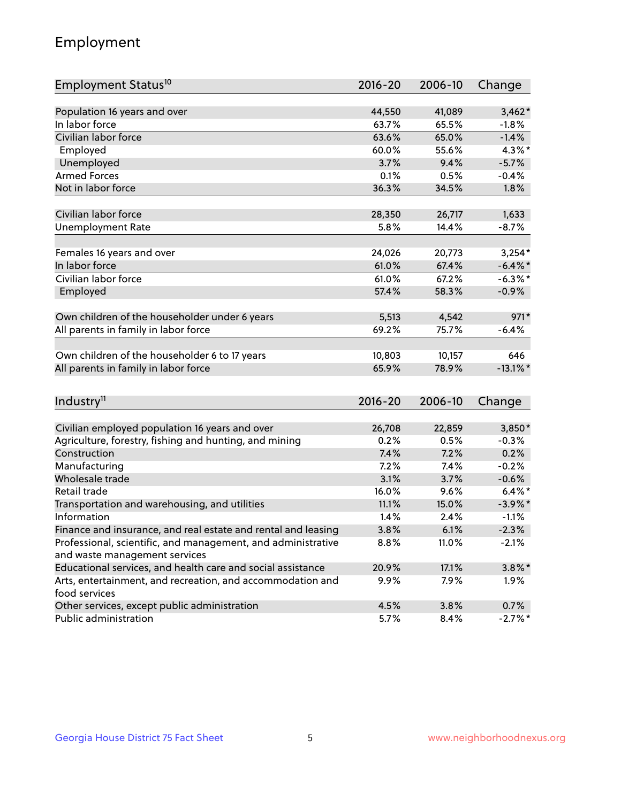## Employment

| Employment Status <sup>10</sup>                                                               | $2016 - 20$ | 2006-10 | Change      |
|-----------------------------------------------------------------------------------------------|-------------|---------|-------------|
|                                                                                               |             |         |             |
| Population 16 years and over                                                                  | 44,550      | 41,089  | $3,462*$    |
| In labor force                                                                                | 63.7%       | 65.5%   | $-1.8%$     |
| Civilian labor force                                                                          | 63.6%       | 65.0%   | $-1.4%$     |
| Employed                                                                                      | 60.0%       | 55.6%   | 4.3%*       |
| Unemployed                                                                                    | 3.7%        | 9.4%    | $-5.7%$     |
| <b>Armed Forces</b>                                                                           | 0.1%        | 0.5%    | $-0.4%$     |
| Not in labor force                                                                            | 36.3%       | 34.5%   | 1.8%        |
|                                                                                               |             |         |             |
| Civilian labor force                                                                          | 28,350      | 26,717  | 1,633       |
| <b>Unemployment Rate</b>                                                                      | 5.8%        | 14.4%   | $-8.7%$     |
| Females 16 years and over                                                                     | 24,026      | 20,773  | $3,254*$    |
| In labor force                                                                                | 61.0%       | 67.4%   | $-6.4\%$ *  |
| Civilian labor force                                                                          | 61.0%       | 67.2%   | $-6.3\%$ *  |
| Employed                                                                                      | 57.4%       | 58.3%   | $-0.9%$     |
|                                                                                               |             |         |             |
| Own children of the householder under 6 years                                                 | 5,513       | 4,542   | $971*$      |
| All parents in family in labor force                                                          | 69.2%       | 75.7%   | $-6.4%$     |
|                                                                                               |             |         |             |
| Own children of the householder 6 to 17 years                                                 | 10,803      | 10,157  | 646         |
| All parents in family in labor force                                                          | 65.9%       | 78.9%   | $-13.1\%$ * |
|                                                                                               |             |         |             |
| Industry <sup>11</sup>                                                                        | $2016 - 20$ | 2006-10 | Change      |
|                                                                                               |             |         |             |
| Civilian employed population 16 years and over                                                | 26,708      | 22,859  | 3,850*      |
| Agriculture, forestry, fishing and hunting, and mining                                        | 0.2%        | 0.5%    | $-0.3%$     |
| Construction                                                                                  | 7.4%        | 7.2%    | 0.2%        |
| Manufacturing                                                                                 | 7.2%        | 7.4%    | $-0.2%$     |
| Wholesale trade                                                                               | 3.1%        | 3.7%    | $-0.6%$     |
| Retail trade                                                                                  | 16.0%       | 9.6%    | $6.4\%$ *   |
| Transportation and warehousing, and utilities                                                 | 11.1%       | 15.0%   | $-3.9\%$ *  |
| Information                                                                                   | 1.4%        | 2.4%    | $-1.1%$     |
| Finance and insurance, and real estate and rental and leasing                                 | 3.8%        | 6.1%    | $-2.3%$     |
| Professional, scientific, and management, and administrative<br>and waste management services | 8.8%        | 11.0%   | $-2.1%$     |
| Educational services, and health care and social assistance                                   | 20.9%       | 17.1%   | $3.8\%$ *   |
|                                                                                               |             |         |             |
| Arts, entertainment, and recreation, and accommodation and<br>food services                   | 9.9%        | 7.9%    | $1.9\%$     |
| Other services, except public administration                                                  | 4.5%        | 3.8%    | 0.7%        |
| Public administration                                                                         | 5.7%        | 8.4%    | $-2.7\%$ *  |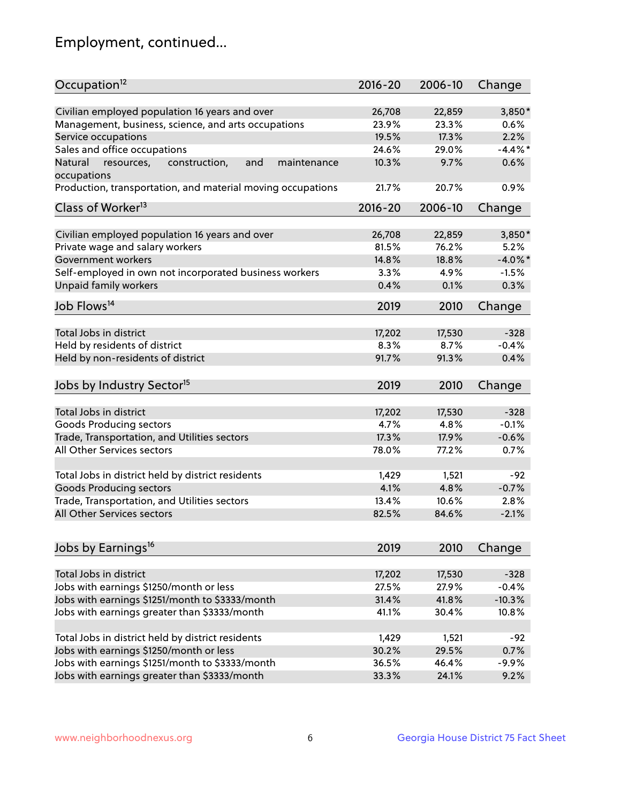## Employment, continued...

| Occupation <sup>12</sup>                                                    | $2016 - 20$ | 2006-10 | Change     |
|-----------------------------------------------------------------------------|-------------|---------|------------|
| Civilian employed population 16 years and over                              | 26,708      | 22,859  | 3,850*     |
| Management, business, science, and arts occupations                         | 23.9%       | 23.3%   | 0.6%       |
| Service occupations                                                         | 19.5%       | 17.3%   | 2.2%       |
| Sales and office occupations                                                | 24.6%       | 29.0%   | $-4.4\%$ * |
|                                                                             |             |         | 0.6%       |
| Natural<br>and<br>resources,<br>construction,<br>maintenance<br>occupations | 10.3%       | 9.7%    |            |
| Production, transportation, and material moving occupations                 | 21.7%       | 20.7%   | 0.9%       |
| Class of Worker <sup>13</sup>                                               | $2016 - 20$ | 2006-10 | Change     |
|                                                                             |             |         |            |
| Civilian employed population 16 years and over                              | 26,708      | 22,859  | 3,850*     |
| Private wage and salary workers                                             | 81.5%       | 76.2%   | 5.2%       |
| Government workers                                                          | 14.8%       | 18.8%   | $-4.0\%$ * |
| Self-employed in own not incorporated business workers                      | 3.3%        | 4.9%    | $-1.5%$    |
| Unpaid family workers                                                       | 0.4%        | 0.1%    | 0.3%       |
| Job Flows <sup>14</sup>                                                     | 2019        | 2010    | Change     |
|                                                                             |             |         |            |
| Total Jobs in district                                                      | 17,202      | 17,530  | $-328$     |
| Held by residents of district                                               | 8.3%        | 8.7%    | $-0.4%$    |
| Held by non-residents of district                                           | 91.7%       | 91.3%   | 0.4%       |
| Jobs by Industry Sector <sup>15</sup>                                       | 2019        | 2010    | Change     |
|                                                                             |             |         |            |
| Total Jobs in district                                                      | 17,202      | 17,530  | $-328$     |
| Goods Producing sectors                                                     | 4.7%        | 4.8%    | $-0.1%$    |
| Trade, Transportation, and Utilities sectors                                | 17.3%       | 17.9%   | $-0.6%$    |
| All Other Services sectors                                                  | 78.0%       | 77.2%   | 0.7%       |
| Total Jobs in district held by district residents                           | 1,429       | 1,521   | $-92$      |
|                                                                             |             |         |            |
| <b>Goods Producing sectors</b>                                              | 4.1%        | 4.8%    | $-0.7%$    |
| Trade, Transportation, and Utilities sectors                                | 13.4%       | 10.6%   | 2.8%       |
| All Other Services sectors                                                  | 82.5%       | 84.6%   | $-2.1%$    |
| Jobs by Earnings <sup>16</sup>                                              | 2019        | 2010    | Change     |
|                                                                             |             |         |            |
| Total Jobs in district                                                      | 17,202      | 17,530  | $-328$     |
| Jobs with earnings \$1250/month or less                                     | 27.5%       | 27.9%   | $-0.4%$    |
| Jobs with earnings \$1251/month to \$3333/month                             | 31.4%       | 41.8%   | $-10.3%$   |
| Jobs with earnings greater than \$3333/month                                | 41.1%       | 30.4%   | 10.8%      |
|                                                                             |             |         |            |
| Total Jobs in district held by district residents                           | 1,429       | 1,521   | $-92$      |
| Jobs with earnings \$1250/month or less                                     | 30.2%       | 29.5%   | 0.7%       |
| Jobs with earnings \$1251/month to \$3333/month                             | 36.5%       | 46.4%   | $-9.9%$    |
| Jobs with earnings greater than \$3333/month                                | 33.3%       | 24.1%   | 9.2%       |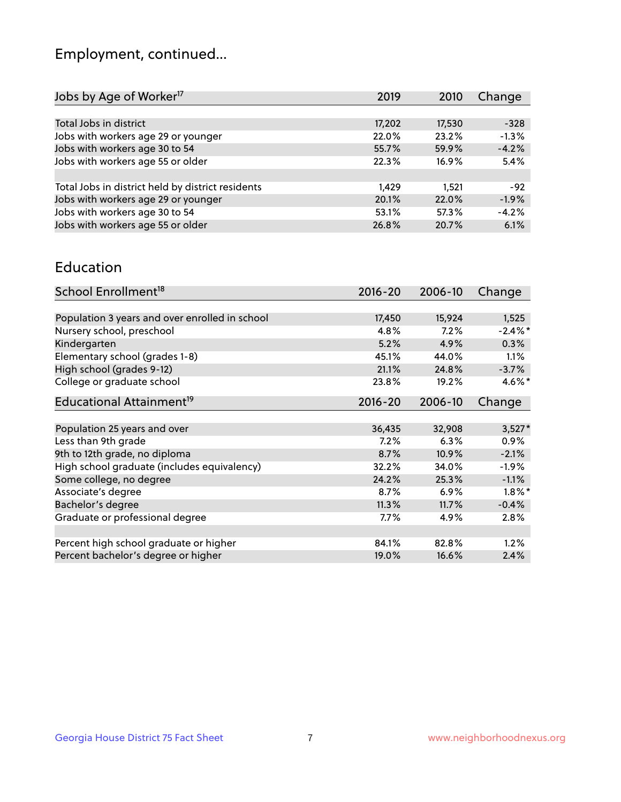## Employment, continued...

| 2019   | 2010   | Change  |
|--------|--------|---------|
|        |        |         |
| 17,202 | 17,530 | $-328$  |
| 22.0%  | 23.2%  | $-1.3%$ |
| 55.7%  | 59.9%  | $-4.2%$ |
| 22.3%  | 16.9%  | 5.4%    |
|        |        |         |
| 1,429  | 1.521  | $-92$   |
| 20.1%  | 22.0%  | $-1.9%$ |
| 53.1%  | 57.3%  | $-4.2%$ |
| 26.8%  | 20.7%  | 6.1%    |
|        |        |         |

#### Education

| School Enrollment <sup>18</sup>                | $2016 - 20$ | 2006-10 | Change     |
|------------------------------------------------|-------------|---------|------------|
|                                                |             |         |            |
| Population 3 years and over enrolled in school | 17,450      | 15,924  | 1,525      |
| Nursery school, preschool                      | 4.8%        | 7.2%    | $-2.4\%$ * |
| Kindergarten                                   | 5.2%        | 4.9%    | 0.3%       |
| Elementary school (grades 1-8)                 | 45.1%       | 44.0%   | $1.1\%$    |
| High school (grades 9-12)                      | 21.1%       | 24.8%   | $-3.7%$    |
| College or graduate school                     | 23.8%       | 19.2%   | $4.6\%$ *  |
| Educational Attainment <sup>19</sup>           | $2016 - 20$ | 2006-10 | Change     |
|                                                |             |         |            |
| Population 25 years and over                   | 36,435      | 32,908  | $3,527*$   |
| Less than 9th grade                            | 7.2%        | 6.3%    | $0.9\%$    |
| 9th to 12th grade, no diploma                  | 8.7%        | 10.9%   | $-2.1%$    |
| High school graduate (includes equivalency)    | 32.2%       | 34.0%   | $-1.9%$    |
| Some college, no degree                        | 24.2%       | 25.3%   | $-1.1%$    |
| Associate's degree                             | 8.7%        | 6.9%    | $1.8\%$ *  |
| Bachelor's degree                              | 11.3%       | 11.7%   | $-0.4%$    |
| Graduate or professional degree                | $7.7\%$     | 4.9%    | 2.8%       |
|                                                |             |         |            |
| Percent high school graduate or higher         | 84.1%       | 82.8%   | $1.2\%$    |
| Percent bachelor's degree or higher            | 19.0%       | 16.6%   | 2.4%       |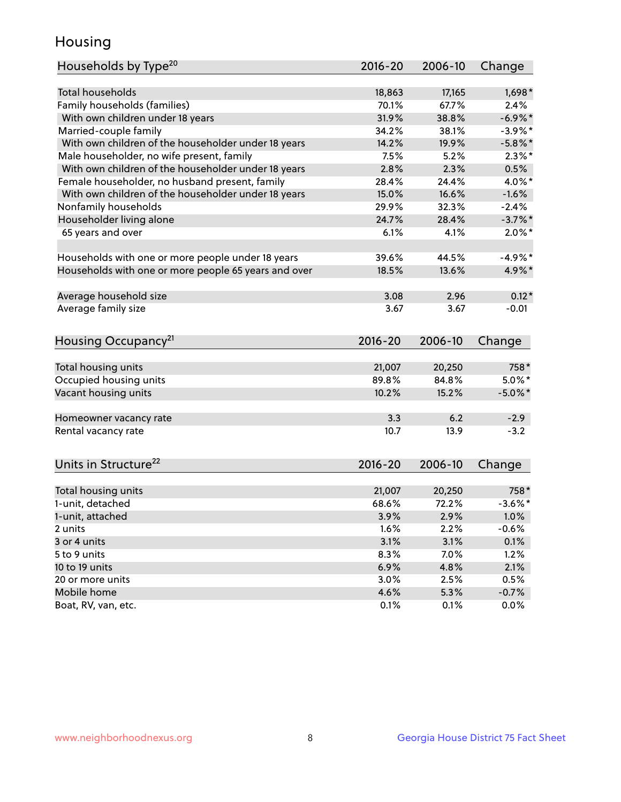## Housing

| Households by Type <sup>20</sup>                     | 2016-20     | 2006-10 | Change     |
|------------------------------------------------------|-------------|---------|------------|
|                                                      |             |         |            |
| <b>Total households</b>                              | 18,863      | 17,165  | 1,698*     |
| Family households (families)                         | 70.1%       | 67.7%   | 2.4%       |
| With own children under 18 years                     | 31.9%       | 38.8%   | $-6.9\%$ * |
| Married-couple family                                | 34.2%       | 38.1%   | $-3.9\%$ * |
| With own children of the householder under 18 years  | 14.2%       | 19.9%   | $-5.8\%$ * |
| Male householder, no wife present, family            | 7.5%        | 5.2%    | $2.3\%$ *  |
| With own children of the householder under 18 years  | 2.8%        | 2.3%    | 0.5%       |
| Female householder, no husband present, family       | 28.4%       | 24.4%   | 4.0%*      |
| With own children of the householder under 18 years  | 15.0%       | 16.6%   | $-1.6%$    |
| Nonfamily households                                 | 29.9%       | 32.3%   | $-2.4%$    |
| Householder living alone                             | 24.7%       | 28.4%   | $-3.7%$ *  |
| 65 years and over                                    | 6.1%        | 4.1%    | $2.0\%$ *  |
| Households with one or more people under 18 years    | 39.6%       | 44.5%   | $-4.9%$ *  |
| Households with one or more people 65 years and over | 18.5%       | 13.6%   | 4.9%*      |
|                                                      |             |         |            |
| Average household size                               | 3.08        | 2.96    | $0.12*$    |
| Average family size                                  | 3.67        | 3.67    | $-0.01$    |
| Housing Occupancy <sup>21</sup>                      | $2016 - 20$ | 2006-10 | Change     |
|                                                      |             |         |            |
| Total housing units                                  | 21,007      | 20,250  | 758*       |
| Occupied housing units                               | 89.8%       | 84.8%   | $5.0\%$ *  |
| Vacant housing units                                 | 10.2%       | 15.2%   | $-5.0\%$ * |
| Homeowner vacancy rate                               | 3.3         | 6.2     | $-2.9$     |
| Rental vacancy rate                                  | 10.7        | 13.9    | $-3.2$     |
| Units in Structure <sup>22</sup>                     | $2016 - 20$ | 2006-10 | Change     |
|                                                      |             |         |            |
| Total housing units                                  | 21,007      | 20,250  | 758*       |
| 1-unit, detached                                     | 68.6%       | 72.2%   | $-3.6\%$ * |
| 1-unit, attached                                     | 3.9%        | 2.9%    | 1.0%       |
| 2 units                                              | 1.6%        | 2.2%    | $-0.6%$    |
| 3 or 4 units                                         | 3.1%        | 3.1%    | 0.1%       |
| 5 to 9 units                                         | 8.3%        | 7.0%    | 1.2%       |
| 10 to 19 units                                       | 6.9%        | 4.8%    | 2.1%       |
| 20 or more units                                     | 3.0%        | 2.5%    | 0.5%       |
| Mobile home                                          | 4.6%        | 5.3%    | $-0.7%$    |
| Boat, RV, van, etc.                                  | 0.1%        | 0.1%    | 0.0%       |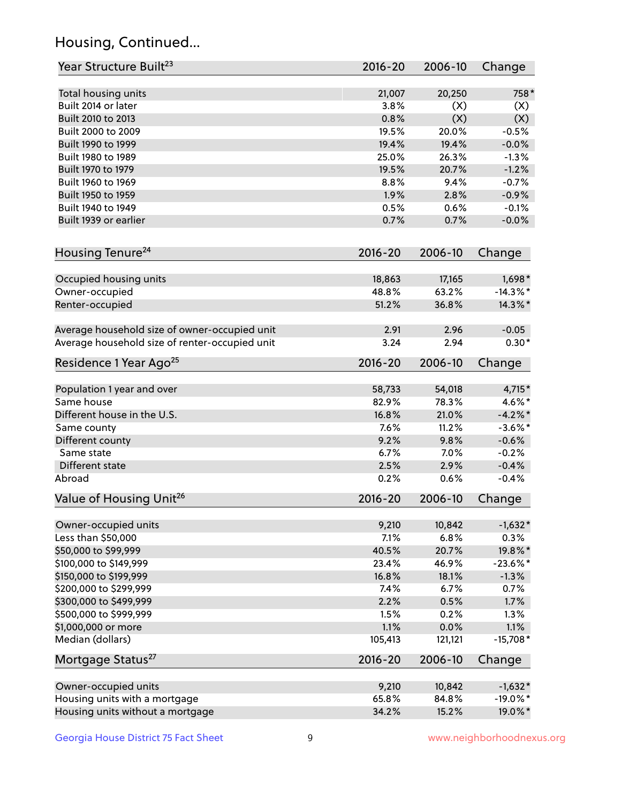## Housing, Continued...

| Year Structure Built <sup>23</sup>             | 2016-20     | 2006-10 | Change      |
|------------------------------------------------|-------------|---------|-------------|
| Total housing units                            | 21,007      | 20,250  | 758*        |
| Built 2014 or later                            | 3.8%        | (X)     | (X)         |
| Built 2010 to 2013                             | 0.8%        | (X)     | (X)         |
| Built 2000 to 2009                             | 19.5%       | 20.0%   | $-0.5%$     |
| Built 1990 to 1999                             | 19.4%       | 19.4%   | $-0.0%$     |
| Built 1980 to 1989                             | 25.0%       | 26.3%   | $-1.3%$     |
| Built 1970 to 1979                             | 19.5%       | 20.7%   | $-1.2%$     |
| Built 1960 to 1969                             | 8.8%        | 9.4%    | $-0.7%$     |
| Built 1950 to 1959                             | 1.9%        | 2.8%    | $-0.9%$     |
| Built 1940 to 1949                             | 0.5%        | 0.6%    | $-0.1%$     |
| Built 1939 or earlier                          | 0.7%        | 0.7%    | $-0.0%$     |
| Housing Tenure <sup>24</sup>                   | $2016 - 20$ | 2006-10 | Change      |
|                                                |             |         |             |
| Occupied housing units                         | 18,863      | 17,165  | $1,698*$    |
| Owner-occupied                                 | 48.8%       | 63.2%   | $-14.3\%$ * |
| Renter-occupied                                | 51.2%       | 36.8%   | 14.3%*      |
| Average household size of owner-occupied unit  | 2.91        | 2.96    | $-0.05$     |
| Average household size of renter-occupied unit | 3.24        | 2.94    | $0.30*$     |
| Residence 1 Year Ago <sup>25</sup>             | $2016 - 20$ | 2006-10 | Change      |
|                                                |             |         |             |
| Population 1 year and over                     | 58,733      | 54,018  | $4,715*$    |
| Same house                                     | 82.9%       | 78.3%   | 4.6%*       |
| Different house in the U.S.                    | 16.8%       | 21.0%   | $-4.2\%$ *  |
| Same county                                    | 7.6%        | 11.2%   | $-3.6\%$ *  |
| Different county                               | 9.2%        | 9.8%    | $-0.6%$     |
| Same state                                     | 6.7%        | 7.0%    | $-0.2%$     |
| Different state                                | 2.5%        | 2.9%    | $-0.4%$     |
| Abroad                                         | 0.2%        | 0.6%    | $-0.4%$     |
| Value of Housing Unit <sup>26</sup>            | $2016 - 20$ | 2006-10 | Change      |
| Owner-occupied units                           | 9,210       | 10,842  | $-1,632*$   |
| Less than \$50,000                             | 7.1%        | 6.8%    | 0.3%        |
| \$50,000 to \$99,999                           | 40.5%       | 20.7%   | 19.8%*      |
| \$100,000 to \$149,999                         | 23.4%       | 46.9%   | $-23.6\%$ * |
| \$150,000 to \$199,999                         | 16.8%       | 18.1%   | $-1.3%$     |
| \$200,000 to \$299,999                         | 7.4%        | 6.7%    | 0.7%        |
| \$300,000 to \$499,999                         | 2.2%        | 0.5%    | 1.7%        |
| \$500,000 to \$999,999                         | 1.5%        | 0.2%    | 1.3%        |
| \$1,000,000 or more                            | 1.1%        | 0.0%    | 1.1%        |
| Median (dollars)                               | 105,413     | 121,121 | $-15,708*$  |
| Mortgage Status <sup>27</sup>                  | $2016 - 20$ | 2006-10 | Change      |
| Owner-occupied units                           | 9,210       | 10,842  | $-1,632*$   |
| Housing units with a mortgage                  | 65.8%       | 84.8%   | $-19.0\%$ * |
| Housing units without a mortgage               | 34.2%       | 15.2%   | 19.0%*      |
|                                                |             |         |             |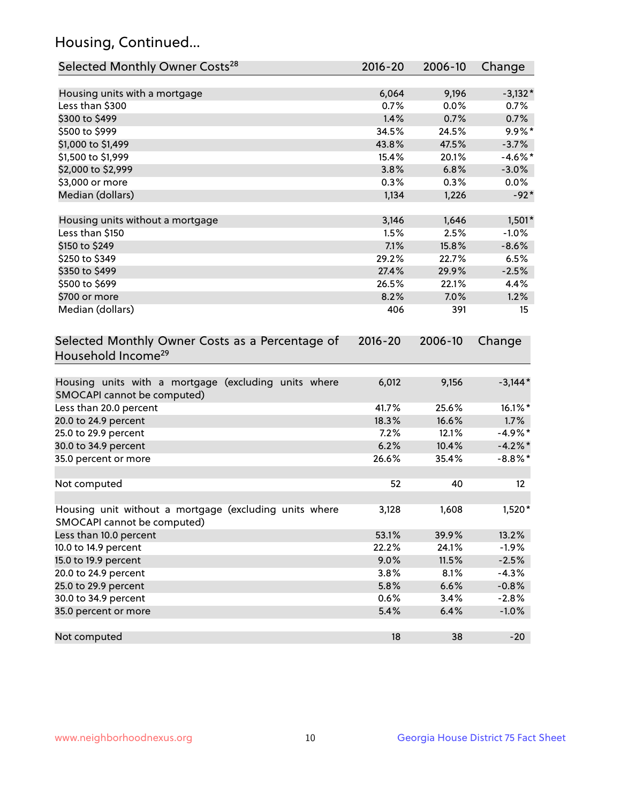## Housing, Continued...

| Selected Monthly Owner Costs <sup>28</sup>                                            | 2016-20     | 2006-10 | Change     |
|---------------------------------------------------------------------------------------|-------------|---------|------------|
| Housing units with a mortgage                                                         | 6,064       | 9,196   | $-3,132*$  |
| Less than \$300                                                                       | 0.7%        | 0.0%    | $0.7\%$    |
| \$300 to \$499                                                                        | 1.4%        | 0.7%    | 0.7%       |
| \$500 to \$999                                                                        | 34.5%       | 24.5%   | $9.9\%$ *  |
| \$1,000 to \$1,499                                                                    | 43.8%       | 47.5%   | $-3.7%$    |
| \$1,500 to \$1,999                                                                    | 15.4%       | 20.1%   | $-4.6\%$ * |
| \$2,000 to \$2,999                                                                    | 3.8%        | 6.8%    | $-3.0%$    |
| \$3,000 or more                                                                       | 0.3%        | 0.3%    | 0.0%       |
| Median (dollars)                                                                      | 1,134       | 1,226   | $-92*$     |
| Housing units without a mortgage                                                      | 3,146       | 1,646   | $1,501*$   |
| Less than \$150                                                                       | 1.5%        | 2.5%    | $-1.0%$    |
| \$150 to \$249                                                                        | 7.1%        | 15.8%   | $-8.6%$    |
| \$250 to \$349                                                                        | 29.2%       | 22.7%   | 6.5%       |
| \$350 to \$499                                                                        | 27.4%       | 29.9%   | $-2.5%$    |
| \$500 to \$699                                                                        | 26.5%       | 22.1%   | 4.4%       |
| \$700 or more                                                                         | 8.2%        | 7.0%    | 1.2%       |
| Median (dollars)                                                                      | 406         | 391     | 15         |
| Selected Monthly Owner Costs as a Percentage of<br>Household Income <sup>29</sup>     | $2016 - 20$ | 2006-10 | Change     |
| Housing units with a mortgage (excluding units where<br>SMOCAPI cannot be computed)   | 6,012       | 9,156   | $-3,144*$  |
| Less than 20.0 percent                                                                | 41.7%       | 25.6%   | 16.1%*     |
| 20.0 to 24.9 percent                                                                  | 18.3%       | 16.6%   | 1.7%       |
| 25.0 to 29.9 percent                                                                  | 7.2%        | 12.1%   | $-4.9\%*$  |
| 30.0 to 34.9 percent                                                                  | 6.2%        | 10.4%   | $-4.2\%$ * |
| 35.0 percent or more                                                                  | 26.6%       | 35.4%   | $-8.8\%$ * |
| Not computed                                                                          | 52          | 40      | $12 \,$    |
| Housing unit without a mortgage (excluding units where<br>SMOCAPI cannot be computed) | 3,128       | 1,608   | 1,520*     |
| Less than 10.0 percent                                                                | 53.1%       | 39.9%   | 13.2%      |
| 10.0 to 14.9 percent                                                                  | 22.2%       | 24.1%   | $-1.9%$    |
| 15.0 to 19.9 percent                                                                  | 9.0%        | 11.5%   | $-2.5%$    |
| 20.0 to 24.9 percent                                                                  | 3.8%        | 8.1%    | $-4.3%$    |
| 25.0 to 29.9 percent                                                                  | 5.8%        | 6.6%    | $-0.8%$    |
| 30.0 to 34.9 percent                                                                  | 0.6%        | 3.4%    | $-2.8%$    |
| 35.0 percent or more                                                                  | 5.4%        | 6.4%    | $-1.0%$    |
| Not computed                                                                          | 18          | 38      | $-20$      |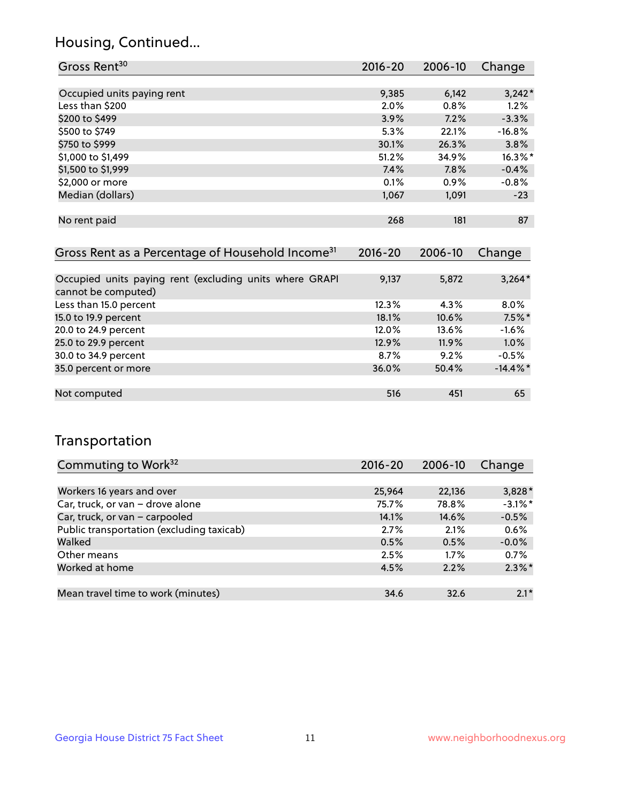## Housing, Continued...

| Gross Rent <sup>30</sup>                                     | 2016-20     | 2006-10 | Change     |
|--------------------------------------------------------------|-------------|---------|------------|
|                                                              |             |         |            |
| Occupied units paying rent                                   | 9,385       | 6,142   | $3,242*$   |
| Less than \$200                                              | 2.0%        | 0.8%    | 1.2%       |
| \$200 to \$499                                               | 3.9%        | 7.2%    | $-3.3%$    |
| \$500 to \$749                                               | 5.3%        | 22.1%   | $-16.8%$   |
| \$750 to \$999                                               | 30.1%       | 26.3%   | 3.8%       |
| \$1,000 to \$1,499                                           | 51.2%       | 34.9%   | $16.3\%$ * |
| \$1,500 to \$1,999                                           | 7.4%        | 7.8%    | $-0.4%$    |
| \$2,000 or more                                              | 0.1%        | $0.9\%$ | $-0.8%$    |
| Median (dollars)                                             | 1,067       | 1,091   | $-23$      |
|                                                              |             |         |            |
| No rent paid                                                 | 268         | 181     | 87         |
|                                                              |             |         |            |
| Gross Rent as a Percentage of Household Income <sup>31</sup> | $2016 - 20$ | 2006-10 | Change     |
|                                                              |             |         |            |

| Occupied units paying rent (excluding units where GRAPI<br>cannot be computed) | 9,137 | 5,872 | $3,264*$    |
|--------------------------------------------------------------------------------|-------|-------|-------------|
| Less than 15.0 percent                                                         | 12.3% | 4.3%  | $8.0\%$     |
| 15.0 to 19.9 percent                                                           | 18.1% | 10.6% | $7.5\%$ *   |
| 20.0 to 24.9 percent                                                           | 12.0% | 13.6% | $-1.6%$     |
| 25.0 to 29.9 percent                                                           | 12.9% | 11.9% | 1.0%        |
| 30.0 to 34.9 percent                                                           | 8.7%  | 9.2%  | $-0.5%$     |
| 35.0 percent or more                                                           | 36.0% | 50.4% | $-14.4\%$ * |
|                                                                                |       |       |             |
| Not computed                                                                   | 516   | 451   | 65          |

## Transportation

| Commuting to Work <sup>32</sup>           | 2016-20 | 2006-10 | Change     |
|-------------------------------------------|---------|---------|------------|
|                                           |         |         |            |
| Workers 16 years and over                 | 25,964  | 22,136  | $3,828*$   |
| Car, truck, or van - drove alone          | 75.7%   | 78.8%   | $-3.1\%$ * |
| Car, truck, or van - carpooled            | 14.1%   | 14.6%   | $-0.5%$    |
| Public transportation (excluding taxicab) | 2.7%    | 2.1%    | 0.6%       |
| Walked                                    | 0.5%    | 0.5%    | $-0.0%$    |
| Other means                               | 2.5%    | $1.7\%$ | 0.7%       |
| Worked at home                            | 4.5%    | 2.2%    | $2.3\%$ *  |
|                                           |         |         |            |
| Mean travel time to work (minutes)        | 34.6    | 32.6    | $2.1*$     |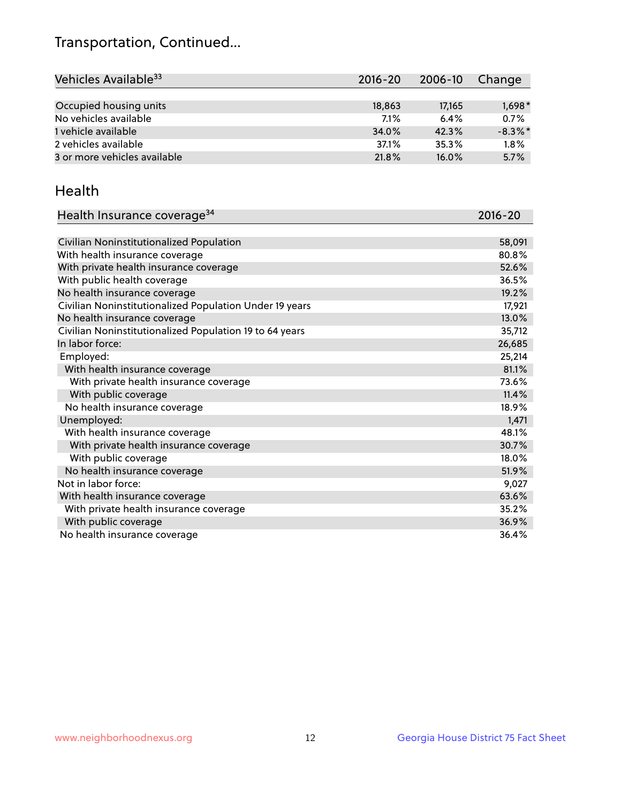## Transportation, Continued...

| Vehicles Available <sup>33</sup> | $2016 - 20$ | 2006-10  | Change     |
|----------------------------------|-------------|----------|------------|
|                                  |             |          |            |
| Occupied housing units           | 18,863      | 17,165   | $1,698*$   |
| No vehicles available            | 7.1%        | 6.4%     | 0.7%       |
| 1 vehicle available              | 34.0%       | 42.3%    | $-8.3\%$ * |
| 2 vehicles available             | 37.1%       | 35.3%    | 1.8%       |
| 3 or more vehicles available     | 21.8%       | $16.0\%$ | 5.7%       |

#### Health

| Health Insurance coverage <sup>34</sup>                 | 2016-20 |
|---------------------------------------------------------|---------|
|                                                         |         |
| Civilian Noninstitutionalized Population                | 58,091  |
| With health insurance coverage                          | 80.8%   |
| With private health insurance coverage                  | 52.6%   |
| With public health coverage                             | 36.5%   |
| No health insurance coverage                            | 19.2%   |
| Civilian Noninstitutionalized Population Under 19 years | 17,921  |
| No health insurance coverage                            | 13.0%   |
| Civilian Noninstitutionalized Population 19 to 64 years | 35,712  |
| In labor force:                                         | 26,685  |
| Employed:                                               | 25,214  |
| With health insurance coverage                          | 81.1%   |
| With private health insurance coverage                  | 73.6%   |
| With public coverage                                    | 11.4%   |
| No health insurance coverage                            | 18.9%   |
| Unemployed:                                             | 1,471   |
| With health insurance coverage                          | 48.1%   |
| With private health insurance coverage                  | 30.7%   |
| With public coverage                                    | 18.0%   |
| No health insurance coverage                            | 51.9%   |
| Not in labor force:                                     | 9,027   |
| With health insurance coverage                          | 63.6%   |
| With private health insurance coverage                  | 35.2%   |
| With public coverage                                    | 36.9%   |
| No health insurance coverage                            | 36.4%   |